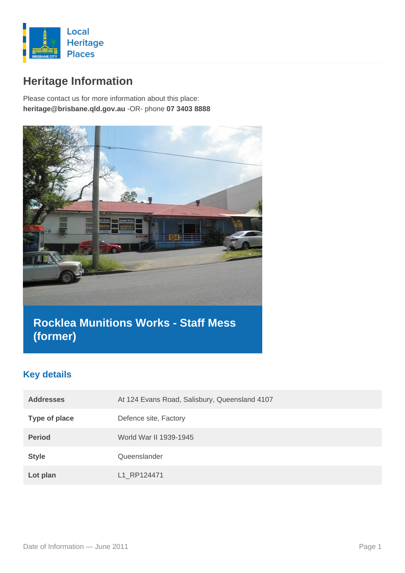

# **Heritage Information**

Please contact us for more information about this place: **heritage@brisbane.qld.gov.au** -OR- phone **07 3403 8888**



# **Rocklea Munitions Works - Staff Mess (former)**

## **Key details**

| <b>Addresses</b>     | At 124 Evans Road, Salisbury, Queensland 4107 |
|----------------------|-----------------------------------------------|
| <b>Type of place</b> | Defence site, Factory                         |
| <b>Period</b>        | World War II 1939-1945                        |
| <b>Style</b>         | Queenslander                                  |
| Lot plan             | L1 RP124471                                   |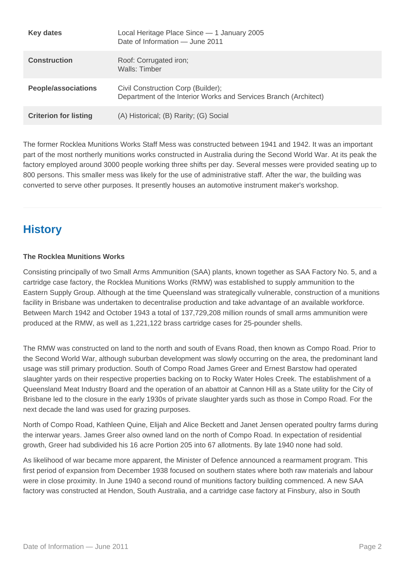| <b>Key dates</b>             | Local Heritage Place Since - 1 January 2005<br>Date of Information — June 2011                         |
|------------------------------|--------------------------------------------------------------------------------------------------------|
| <b>Construction</b>          | Roof: Corrugated iron;<br>Walls: Timber                                                                |
| <b>People/associations</b>   | Civil Construction Corp (Builder);<br>Department of the Interior Works and Services Branch (Architect) |
| <b>Criterion for listing</b> | (A) Historical; (B) Rarity; (G) Social                                                                 |

The former Rocklea Munitions Works Staff Mess was constructed between 1941 and 1942. It was an important part of the most northerly munitions works constructed in Australia during the Second World War. At its peak the factory employed around 3000 people working three shifts per day. Several messes were provided seating up to 800 persons. This smaller mess was likely for the use of administrative staff. After the war, the building was converted to serve other purposes. It presently houses an automotive instrument maker's workshop.

## **History**

#### **The Rocklea Munitions Works**

Consisting principally of two Small Arms Ammunition (SAA) plants, known together as SAA Factory No. 5, and a cartridge case factory, the Rocklea Munitions Works (RMW) was established to supply ammunition to the Eastern Supply Group. Although at the time Queensland was strategically vulnerable, construction of a munitions facility in Brisbane was undertaken to decentralise production and take advantage of an available workforce. Between March 1942 and October 1943 a total of 137,729,208 million rounds of small arms ammunition were produced at the RMW, as well as 1,221,122 brass cartridge cases for 25-pounder shells.

The RMW was constructed on land to the north and south of Evans Road, then known as Compo Road. Prior to the Second World War, although suburban development was slowly occurring on the area, the predominant land usage was still primary production. South of Compo Road James Greer and Ernest Barstow had operated slaughter yards on their respective properties backing on to Rocky Water Holes Creek. The establishment of a Queensland Meat Industry Board and the operation of an abattoir at Cannon Hill as a State utility for the City of Brisbane led to the closure in the early 1930s of private slaughter yards such as those in Compo Road. For the next decade the land was used for grazing purposes.

North of Compo Road, Kathleen Quine, Elijah and Alice Beckett and Janet Jensen operated poultry farms during the interwar years. James Greer also owned land on the north of Compo Road. In expectation of residential growth, Greer had subdivided his 16 acre Portion 205 into 67 allotments. By late 1940 none had sold.

As likelihood of war became more apparent, the Minister of Defence announced a rearmament program. This first period of expansion from December 1938 focused on southern states where both raw materials and labour were in close proximity. In June 1940 a second round of munitions factory building commenced. A new SAA factory was constructed at Hendon, South Australia, and a cartridge case factory at Finsbury, also in South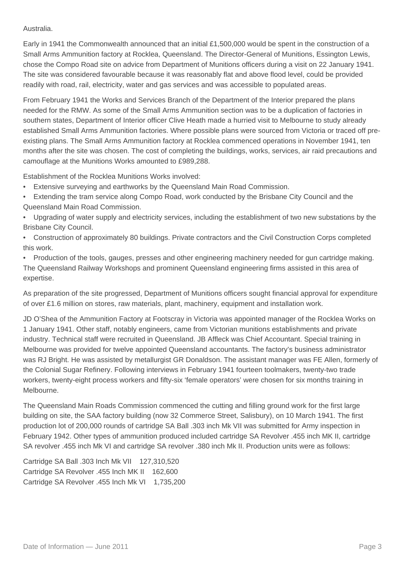#### Australia.

Early in 1941 the Commonwealth announced that an initial £1,500,000 would be spent in the construction of a Small Arms Ammunition factory at Rocklea, Queensland. The Director-General of Munitions, Essington Lewis, chose the Compo Road site on advice from Department of Munitions officers during a visit on 22 January 1941. The site was considered favourable because it was reasonably flat and above flood level, could be provided readily with road, rail, electricity, water and gas services and was accessible to populated areas.

From February 1941 the Works and Services Branch of the Department of the Interior prepared the plans needed for the RMW. As some of the Small Arms Ammunition section was to be a duplication of factories in southern states, Department of Interior officer Clive Heath made a hurried visit to Melbourne to study already established Small Arms Ammunition factories. Where possible plans were sourced from Victoria or traced off preexisting plans. The Small Arms Ammunition factory at Rocklea commenced operations in November 1941, ten months after the site was chosen. The cost of completing the buildings, works, services, air raid precautions and camouflage at the Munitions Works amounted to £989,288.

Establishment of the Rocklea Munitions Works involved:

- Extensive surveying and earthworks by the Queensland Main Road Commission.
- Extending the tram service along Compo Road, work conducted by the Brisbane City Council and the Queensland Main Road Commission.
- Upgrading of water supply and electricity services, including the establishment of two new substations by the Brisbane City Council.
- Construction of approximately 80 buildings. Private contractors and the Civil Construction Corps completed this work.

• Production of the tools, gauges, presses and other engineering machinery needed for gun cartridge making. The Queensland Railway Workshops and prominent Queensland engineering firms assisted in this area of expertise.

As preparation of the site progressed, Department of Munitions officers sought financial approval for expenditure of over £1.6 million on stores, raw materials, plant, machinery, equipment and installation work.

JD O'Shea of the Ammunition Factory at Footscray in Victoria was appointed manager of the Rocklea Works on 1 January 1941. Other staff, notably engineers, came from Victorian munitions establishments and private industry. Technical staff were recruited in Queensland. JB Affleck was Chief Accountant. Special training in Melbourne was provided for twelve appointed Queensland accountants. The factory's business administrator was RJ Bright. He was assisted by metallurgist GR Donaldson. The assistant manager was FE Allen, formerly of the Colonial Sugar Refinery. Following interviews in February 1941 fourteen toolmakers, twenty-two trade workers, twenty-eight process workers and fifty-six 'female operators' were chosen for six months training in Melbourne.

The Queensland Main Roads Commission commenced the cutting and filling ground work for the first large building on site, the SAA factory building (now 32 Commerce Street, Salisbury), on 10 March 1941. The first production lot of 200,000 rounds of cartridge SA Ball .303 inch Mk VII was submitted for Army inspection in February 1942. Other types of ammunition produced included cartridge SA Revolver .455 inch MK II, cartridge SA revolver .455 inch Mk VI and cartridge SA revolver .380 inch Mk II. Production units were as follows:

Cartridge SA Ball .303 Inch Mk VII 127,310,520 Cartridge SA Revolver .455 Inch MK II 162,600 Cartridge SA Revolver .455 Inch Mk VI 1,735,200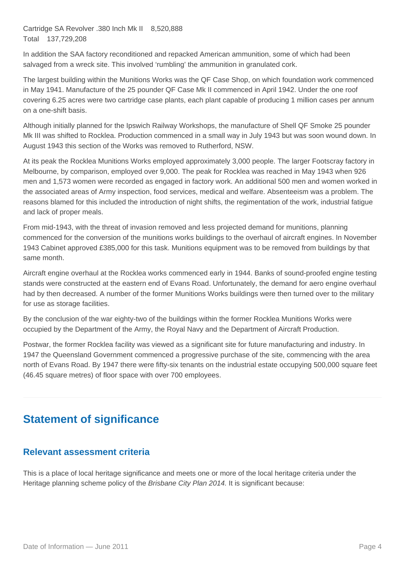Cartridge SA Revolver .380 Inch Mk II 8,520,888 Total 137,729,208

In addition the SAA factory reconditioned and repacked American ammunition, some of which had been salvaged from a wreck site. This involved 'rumbling' the ammunition in granulated cork.

The largest building within the Munitions Works was the QF Case Shop, on which foundation work commenced in May 1941. Manufacture of the 25 pounder QF Case Mk II commenced in April 1942. Under the one roof covering 6.25 acres were two cartridge case plants, each plant capable of producing 1 million cases per annum on a one-shift basis.

Although initially planned for the Ipswich Railway Workshops, the manufacture of Shell QF Smoke 25 pounder Mk III was shifted to Rocklea. Production commenced in a small way in July 1943 but was soon wound down. In August 1943 this section of the Works was removed to Rutherford, NSW.

At its peak the Rocklea Munitions Works employed approximately 3,000 people. The larger Footscray factory in Melbourne, by comparison, employed over 9,000. The peak for Rocklea was reached in May 1943 when 926 men and 1,573 women were recorded as engaged in factory work. An additional 500 men and women worked in the associated areas of Army inspection, food services, medical and welfare. Absenteeism was a problem. The reasons blamed for this included the introduction of night shifts, the regimentation of the work, industrial fatigue and lack of proper meals.

From mid-1943, with the threat of invasion removed and less projected demand for munitions, planning commenced for the conversion of the munitions works buildings to the overhaul of aircraft engines. In November 1943 Cabinet approved £385,000 for this task. Munitions equipment was to be removed from buildings by that same month.

Aircraft engine overhaul at the Rocklea works commenced early in 1944. Banks of sound-proofed engine testing stands were constructed at the eastern end of Evans Road. Unfortunately, the demand for aero engine overhaul had by then decreased. A number of the former Munitions Works buildings were then turned over to the military for use as storage facilities.

By the conclusion of the war eighty-two of the buildings within the former Rocklea Munitions Works were occupied by the Department of the Army, the Royal Navy and the Department of Aircraft Production.

Postwar, the former Rocklea facility was viewed as a significant site for future manufacturing and industry. In 1947 the Queensland Government commenced a progressive purchase of the site, commencing with the area north of Evans Road. By 1947 there were fifty-six tenants on the industrial estate occupying 500,000 square feet (46.45 square metres) of floor space with over 700 employees.

## **Statement of significance**

### **Relevant assessment criteria**

This is a place of local heritage significance and meets one or more of the local heritage criteria under the Heritage planning scheme policy of the *Brisbane City Plan 2014*. It is significant because: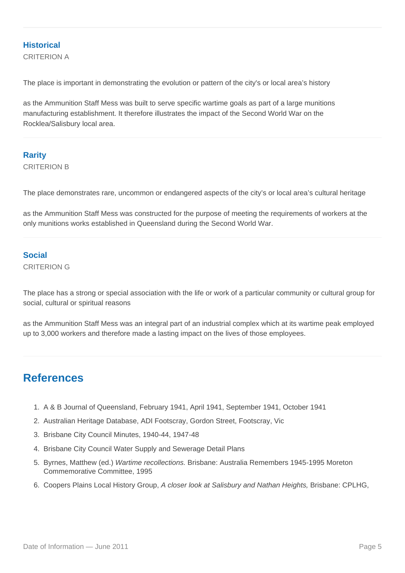### **Historical**

CRITERION A

The place is important in demonstrating the evolution or pattern of the city's or local area's history

as the Ammunition Staff Mess was built to serve specific wartime goals as part of a large munitions manufacturing establishment. It therefore illustrates the impact of the Second World War on the Rocklea/Salisbury local area.

### **Rarity** CRITERION B

The place demonstrates rare, uncommon or endangered aspects of the city's or local area's cultural heritage

as the Ammunition Staff Mess was constructed for the purpose of meeting the requirements of workers at the only munitions works established in Queensland during the Second World War.

### **Social**

CRITERION G

The place has a strong or special association with the life or work of a particular community or cultural group for social, cultural or spiritual reasons

as the Ammunition Staff Mess was an integral part of an industrial complex which at its wartime peak employed up to 3,000 workers and therefore made a lasting impact on the lives of those employees.

## **References**

- 1. A & B Journal of Queensland, February 1941, April 1941, September 1941, October 1941
- 2. Australian Heritage Database, ADI Footscray, Gordon Street, Footscray, Vic
- 3. Brisbane City Council Minutes, 1940-44, 1947-48
- 4. Brisbane City Council Water Supply and Sewerage Detail Plans
- 5. Byrnes, Matthew (ed.) Wartime recollections. Brisbane: Australia Remembers 1945-1995 Moreton Commemorative Committee, 1995
- 6. Coopers Plains Local History Group, A closer look at Salisbury and Nathan Heights, Brisbane: CPLHG,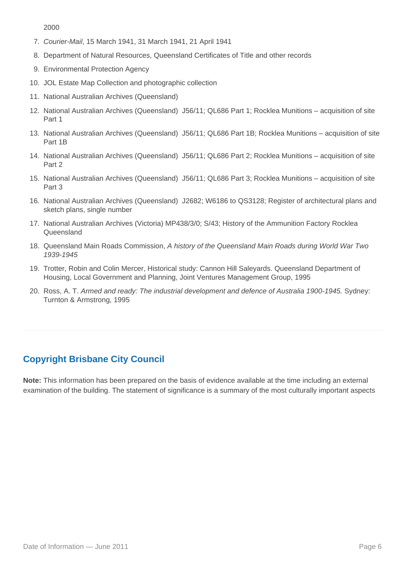2000

- 7. Courier-Mail, 15 March 1941, 31 March 1941, 21 April 1941
- 8. Department of Natural Resources, Queensland Certificates of Title and other records
- 9. Environmental Protection Agency
- 10. JOL Estate Map Collection and photographic collection
- 11. National Australian Archives (Queensland)
- 12. National Australian Archives (Queensland) J56/11; QL686 Part 1; Rocklea Munitions acquisition of site Part 1
- 13. National Australian Archives (Queensland) J56/11; QL686 Part 1B; Rocklea Munitions acquisition of site Part 1B
- 14. National Australian Archives (Queensland) J56/11; QL686 Part 2; Rocklea Munitions acquisition of site Part 2
- 15. National Australian Archives (Queensland) J56/11; QL686 Part 3; Rocklea Munitions acquisition of site Part 3
- 16. National Australian Archives (Queensland) J2682; W6186 to QS3128; Register of architectural plans and sketch plans, single number
- 17. National Australian Archives (Victoria) MP438/3/0; S/43; History of the Ammunition Factory Rocklea Queensland
- 18. Queensland Main Roads Commission, A history of the Queensland Main Roads during World War Two 1939-1945
- 19. Trotter, Robin and Colin Mercer, Historical study: Cannon Hill Saleyards. Queensland Department of Housing, Local Government and Planning, Joint Ventures Management Group, 1995
- 20. Ross, A. T. Armed and ready: The industrial development and defence of Australia 1900-1945. Sydney: Turnton & Armstrong, 1995

## **Copyright Brisbane City Council**

**Note:** This information has been prepared on the basis of evidence available at the time including an external examination of the building. The statement of significance is a summary of the most culturally important aspects